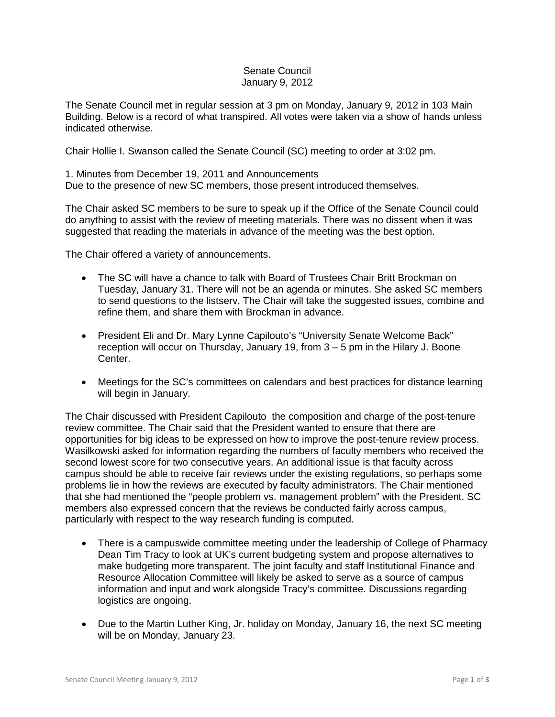## Senate Council January 9, 2012

The Senate Council met in regular session at 3 pm on Monday, January 9, 2012 in 103 Main Building. Below is a record of what transpired. All votes were taken via a show of hands unless indicated otherwise.

Chair Hollie I. Swanson called the Senate Council (SC) meeting to order at 3:02 pm.

## 1. Minutes from December 19, 2011 and Announcements

Due to the presence of new SC members, those present introduced themselves.

The Chair asked SC members to be sure to speak up if the Office of the Senate Council could do anything to assist with the review of meeting materials. There was no dissent when it was suggested that reading the materials in advance of the meeting was the best option.

The Chair offered a variety of announcements.

- The SC will have a chance to talk with Board of Trustees Chair Britt Brockman on Tuesday, January 31. There will not be an agenda or minutes. She asked SC members to send questions to the listserv. The Chair will take the suggested issues, combine and refine them, and share them with Brockman in advance.
- President Eli and Dr. Mary Lynne Capilouto's "University Senate Welcome Back" reception will occur on Thursday, January 19, from 3 – 5 pm in the Hilary J. Boone Center.
- Meetings for the SC's committees on calendars and best practices for distance learning will begin in January.

The Chair discussed with President Capilouto the composition and charge of the post-tenure review committee. The Chair said that the President wanted to ensure that there are opportunities for big ideas to be expressed on how to improve the post-tenure review process. Wasilkowski asked for information regarding the numbers of faculty members who received the second lowest score for two consecutive years. An additional issue is that faculty across campus should be able to receive fair reviews under the existing regulations, so perhaps some problems lie in how the reviews are executed by faculty administrators. The Chair mentioned that she had mentioned the "people problem vs. management problem" with the President. SC members also expressed concern that the reviews be conducted fairly across campus, particularly with respect to the way research funding is computed.

- There is a campuswide committee meeting under the leadership of College of Pharmacy Dean Tim Tracy to look at UK's current budgeting system and propose alternatives to make budgeting more transparent. The joint faculty and staff Institutional Finance and Resource Allocation Committee will likely be asked to serve as a source of campus information and input and work alongside Tracy's committee. Discussions regarding logistics are ongoing.
- Due to the Martin Luther King, Jr. holiday on Monday, January 16, the next SC meeting will be on Monday, January 23.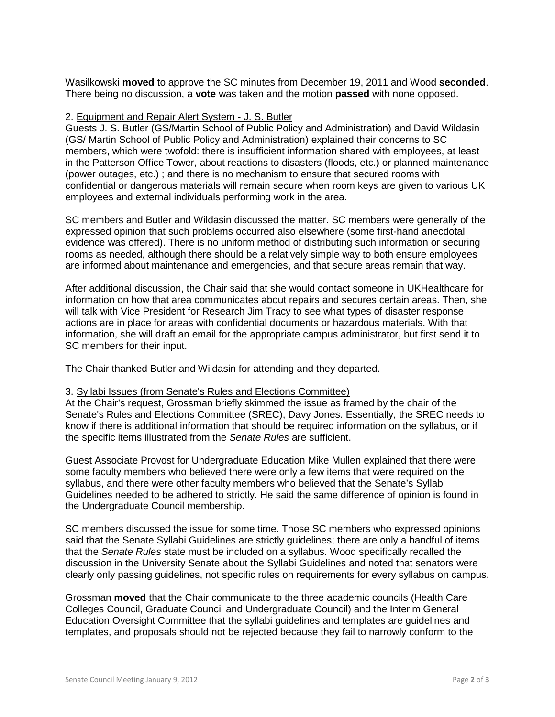Wasilkowski **moved** to approve the SC minutes from December 19, 2011 and Wood **seconded**. There being no discussion, a **vote** was taken and the motion **passed** with none opposed.

## 2. Equipment and Repair Alert System - J. S. Butler

Guests J. S. Butler (GS/Martin School of Public Policy and Administration) and David Wildasin (GS/ Martin School of Public Policy and Administration) explained their concerns to SC members, which were twofold: there is insufficient information shared with employees, at least in the Patterson Office Tower, about reactions to disasters (floods, etc.) or planned maintenance (power outages, etc.) ; and there is no mechanism to ensure that secured rooms with confidential or dangerous materials will remain secure when room keys are given to various UK employees and external individuals performing work in the area.

SC members and Butler and Wildasin discussed the matter. SC members were generally of the expressed opinion that such problems occurred also elsewhere (some first-hand anecdotal evidence was offered). There is no uniform method of distributing such information or securing rooms as needed, although there should be a relatively simple way to both ensure employees are informed about maintenance and emergencies, and that secure areas remain that way.

After additional discussion, the Chair said that she would contact someone in UKHealthcare for information on how that area communicates about repairs and secures certain areas. Then, she will talk with Vice President for Research Jim Tracy to see what types of disaster response actions are in place for areas with confidential documents or hazardous materials. With that information, she will draft an email for the appropriate campus administrator, but first send it to SC members for their input.

The Chair thanked Butler and Wildasin for attending and they departed.

## 3. Syllabi Issues (from Senate's Rules and Elections Committee)

At the Chair's request, Grossman briefly skimmed the issue as framed by the chair of the Senate's Rules and Elections Committee (SREC), Davy Jones. Essentially, the SREC needs to know if there is additional information that should be required information on the syllabus, or if the specific items illustrated from the *Senate Rules* are sufficient.

Guest Associate Provost for Undergraduate Education Mike Mullen explained that there were some faculty members who believed there were only a few items that were required on the syllabus, and there were other faculty members who believed that the Senate's Syllabi Guidelines needed to be adhered to strictly. He said the same difference of opinion is found in the Undergraduate Council membership.

SC members discussed the issue for some time. Those SC members who expressed opinions said that the Senate Syllabi Guidelines are strictly guidelines; there are only a handful of items that the *Senate Rules* state must be included on a syllabus. Wood specifically recalled the discussion in the University Senate about the Syllabi Guidelines and noted that senators were clearly only passing guidelines, not specific rules on requirements for every syllabus on campus.

Grossman **moved** that the Chair communicate to the three academic councils (Health Care Colleges Council, Graduate Council and Undergraduate Council) and the Interim General Education Oversight Committee that the syllabi guidelines and templates are guidelines and templates, and proposals should not be rejected because they fail to narrowly conform to the